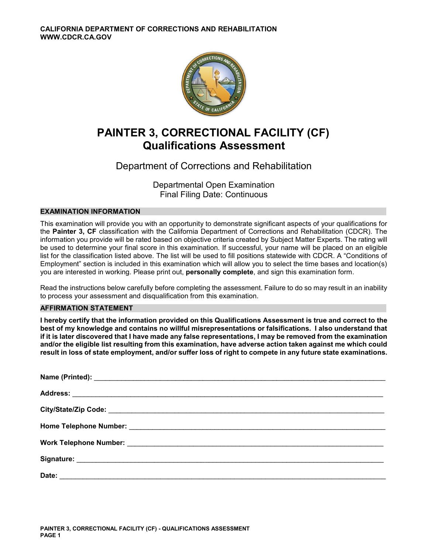

# **PAINTER 3, CORRECTIONAL FACILITY (CF) Qualifications Assessment**

# Department of Corrections and Rehabilitation

Departmental Open Examination Final Filing Date: Continuous

# **EXAMINATION INFORMATION**

This examination will provide you with an opportunity to demonstrate significant aspects of your qualifications for the **Painter 3, CF** classification with the California Department of Corrections and Rehabilitation (CDCR). The information you provide will be rated based on objective criteria created by Subject Matter Experts. The rating will be used to determine your final score in this examination. If successful, your name will be placed on an eligible list for the classification listed above. The list will be used to fill positions statewide with CDCR. A "Conditions of Employment" section is included in this examination which will allow you to select the time bases and location(s) you are interested in working. Please print out, **personally complete**, and sign this examination form.

Read the instructions below carefully before completing the assessment. Failure to do so may result in an inability to process your assessment and disqualification from this examination.

# **AFFIRMATION STATEMENT**

**I hereby certify that the information provided on this Qualifications Assessment is true and correct to the best of my knowledge and contains no willful misrepresentations or falsifications. I also understand that if it is later discovered that I have made any false representations, I may be removed from the examination and/or the eligible list resulting from this examination, have adverse action taken against me which could result in loss of state employment, and/or suffer loss of right to compete in any future state examinations.**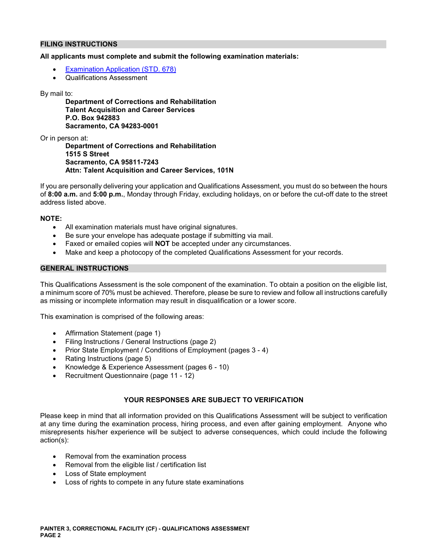### **FILING INSTRUCTIONS**

# **All applicants must complete and submit the following examination materials:**

- [Examination Application \(STD. 678\)](https://jobs.ca.gov/pdf/STD678.pdf)
- Qualifications Assessment

### By mail to:

**Department of Corrections and Rehabilitation Talent Acquisition and Career Services P.O. Box 942883 Sacramento, CA 94283-0001** 

Or in person at:

**Department of Corrections and Rehabilitation 1515 S Street Sacramento, CA 95811-7243 Attn: Talent Acquisition and Career Services, 101N** 

If you are personally delivering your application and Qualifications Assessment, you must do so between the hours of **8:00 a.m.** and **5:00 p.m.**, Monday through Friday, excluding holidays, on or before the cut-off date to the street address listed above.

### **NOTE:**

- All examination materials must have original signatures.
- Be sure your envelope has adequate postage if submitting via mail.
- Faxed or emailed copies will **NOT** be accepted under any circumstances.
- Make and keep a photocopy of the completed Qualifications Assessment for your records.

### **GENERAL INSTRUCTIONS**

This Qualifications Assessment is the sole component of the examination. To obtain a position on the eligible list, a minimum score of 70% must be achieved. Therefore, please be sure to review and follow all instructions carefully as missing or incomplete information may result in disqualification or a lower score.

This examination is comprised of the following areas:

- Affirmation Statement (page 1)
- Filing Instructions / General Instructions (page 2)
- Prior State Employment / Conditions of Employment (pages 3 4)
- Rating Instructions (page 5)
- Knowledge & Experience Assessment (pages 6 10)
- Recruitment Questionnaire (page 11 12)

# **YOUR RESPONSES ARE SUBJECT TO VERIFICATION**

Please keep in mind that all information provided on this Qualifications Assessment will be subject to verification at any time during the examination process, hiring process, and even after gaining employment. Anyone who misrepresents his/her experience will be subject to adverse consequences, which could include the following action(s):

- Removal from the examination process
- Removal from the eligible list / certification list
- Loss of State employment
- Loss of rights to compete in any future state examinations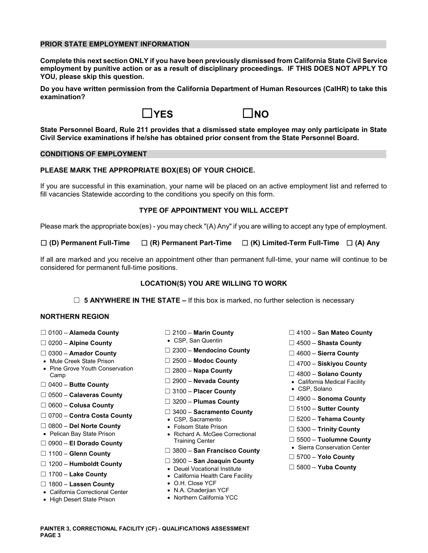### **PRIOR STATE EMPLOYMENT INFORMATION**

**Complete this next section ONLY if you have been previously dismissed from California State Civil Service employment by punitive action or as a result of disciplinary proceedings. IF THIS DOES NOT APPLY TO YOU, please skip this question.** 

**Do you have written permission from the California Department of Human Resources (CalHR) to take this examination?** 





**State Personnel Board, Rule 211 provides that a dismissed state employee may only participate in State Civil Service examinations if he/she has obtained prior consent from the State Personnel Board.** 

### **CONDITIONS OF EMPLOYMENT**

### **PLEASE MARK THE APPROPRIATE BOX(ES) OF YOUR CHOICE.**

If you are successful in this examination, your name will be placed on an active employment list and referred to fill vacancies Statewide according to the conditions you specify on this form.

### **TYPE OF APPOINTMENT YOU WILL ACCEPT**

Please mark the appropriate box(es) - you may check "(A) Any" if you are willing to accept any type of employment.

☐ **(D) Permanent Full-Time** ☐ **(R) Permanent Part-Time** ☐ **(K) Limited-Term Full-Time** ☐ **(A) Any** 

If all are marked and you receive an appointment other than permanent full-time, your name will continue to be considered for permanent full-time positions.

### **LOCATION(S) YOU ARE WILLING TO WORK**

☐ **5 ANYWHERE IN THE STATE –** If this box is marked, no further selection is necessary

### **NORTHERN REGION**

- 
- 
- 
- 
- Mule Creek State Prison ☐ 2500 **Modoc County** ☐ 4700 **Siskiyou County**  Pine Grove Youth Conservation ☐ 2800 **Napa County** Camp ☐ 4800 **Solano County**
- 
- □ 0500 Calaveras County <br>□ 3200 **Plumas County D** 3200 **Plumas County**
- 
- ☐ 0700 **Contra Costa County**  CSP, Sacramento ☐ 5200 **Tehama County**
- 
- 
- 
- 
- 
- 
- ☐ 1800 **Lassen County**  O.H. Close YCF
- California Correctional Center N.A. Chaderjian YCF
- High Desert State Prison
- 
- 
- ☐ ☐ 2300 **Mendocino County** 0300 **Amador County** ☐ 4600 **Sierra County** 
	-
	-
	-
	-
	-
	-
	-
	-
- ☐ 0800 **Del Norte County**  Folsom State Prison ☐ 5300 **Trinity County**  Pelican Bay State Prison Richard A. McGee Correctional <u>□ 5500</u> – **El Dorado County**<br>
□ 5500 – **El Dorado County**<br>
□ 5500 – **Clenn County** → Sierra Conservation Center<br>
□ 1100 – **Glenn County** → Sierra Conservation Center
	- ☐ 3800 **San Francisco County** 1100 **Glenn County** ☐
- ☐ 3900 **San Joaquin County** 1200 **Humboldt County** ☐
	- Deuel Vocational Institute ☐ 5800 **Yuba County**
- □ 1700 **Lake County** <br>● California Health Care Facility
	-
	-
	-
- ☐ 0100 **Alameda County** ☐ 2100 **Marin County** ☐ 4100 **San Mateo County**
- ☐ CSP, San Quentin 0200 **Alpine County**  ☐ 4500 **Shasta County** 
	-
	-
	-
- Camp
□ 2900 Nevada County
□ 2900 Nevada County
□ 2900 Nevada County
 California Medical Facility
□ 2900 Nevada County
 CSP, Solano
 2900 **Placer County** 2900 **Placer County** 
	-
- ☐ ☐ 4900 **Sonoma County** 3200 **Plumas County** ☐ 0600 **Colusa County** 
	-
	- ☐ 5100 **Sutter County** 3400 **Sacramento County** ☐
		-
		-
		-
		- ☐ 5700 **Yolo County**
		-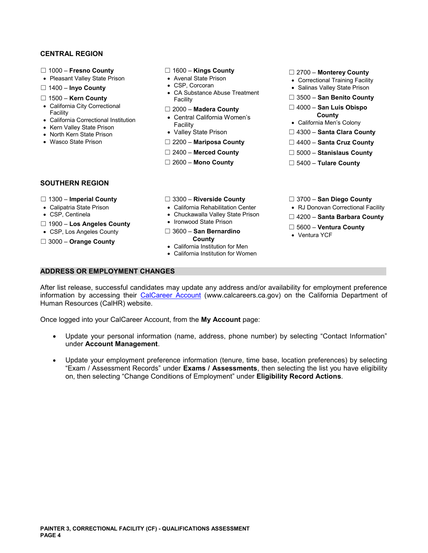# **CENTRAL REGION**

- 
- ☐ 1000 **Fresno County** ☐ 1600 **Kings County** ☐ 2700 **Monterey County**  Pleasant Valley State Prison Avenal State Prison Correctional Training Facility
- 
- 
- 
- 
- 
- 
- 
- 
- 
- 
- □ 1400 **Inyo County** <br>CA Substance Abuse Treatment **Can Benito Count <br>Facility Facility** Facility Count Count and Discount Each Prison **Count** 
	-
	-
	-
	-
	-
	-
- 
- 
- 
- ☐ 1500 **Kern County** Facility ☐ 3500 **San Benito County**
- California City Correctional ☐ 2000 **Madera County** ☐ 4000 **San Luis Obispo** Facility Central California Women's **County** California Correctional Institution Facility California Men's Colony Kern Valley State Prison
	-
- Kern Valley State Prison **County Factury State Prison County Process**<br>■ North Kern State Prison Valley State Prison □ △ 4300 **Santa Clara County**
- Wasco State Prison **□ 2200 Mariposa County Diameter Diameter Diameter Diameter Diameter Diameter Diameter Diameter Diameter Diameter Prison Diameter Diameter Diameter Diameter Diameter Diameter Diameter Diameter Diame** 
	- ☐ 2400 **Merced County** ☐ 5000 **Stanislaus County**
	- ☐ 2600 **Mono County** ☐ 5400 **Tulare County**

### **SOUTHERN REGION**

- 
- 
- 
- □ 1900 Los Angeles County

**ADDRESS OR EMPLOYMENT CHANGES** 

- 
- 
- 
- ☐ 1300 **Imperial County** ☐ 3300 **Riverside County** ☐ 3700 **San Diego County** 
	-
	-
- ☐ 5600 **Ventura County**  CSP, Los Angeles County ☐ 3600 **San Bernardino**  Ventura YCF
- Calipatria State Prison California Rehabilitation Center RJ Donovan Correctional Facility
	- CSP, Centinela Chuckawalla Valley State Prison ☐ 4200 **Santa Barbara County** 
		-
		-
	-
	- California Institution for Men California Institution for Women
	-

After list release, successful candidates may update any address and/or availability for employment preference information by accessing their [CalCareer Account](https://www.jobs.ca.gov/) (www.calcareers.ca.gov) on the California Department of Human Resources (CalHR) website.

Once logged into your CalCareer Account, from the **My Account** page:

- Update your personal information (name, address, phone number) by selecting "Contact Information" under **Account Management**.
- Update your employment preference information (tenure, time base, location preferences) by selecting "Exam / Assessment Records" under **Exams / Assessments**, then selecting the list you have eligibility on, then selecting "Change Conditions of Employment" under **Eligibility Record Actions**.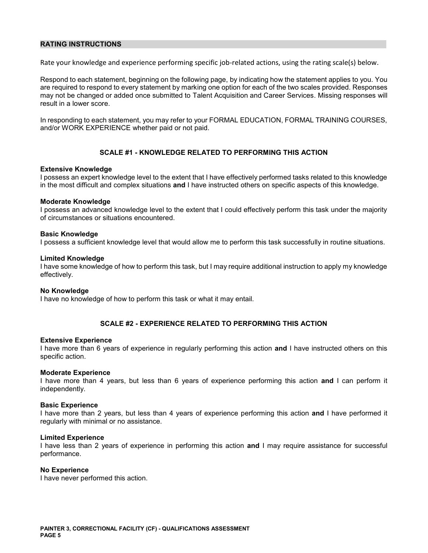### **RATING INSTRUCTIONS**

Rate your knowledge and experience performing specific job-related actions, using the rating scale(s) below.

Respond to each statement, beginning on the following page, by indicating how the statement applies to you. You are required to respond to every statement by marking one option for each of the two scales provided. Responses may not be changed or added once submitted to Talent Acquisition and Career Services. Missing responses will result in a lower score.

In responding to each statement, you may refer to your FORMAL EDUCATION, FORMAL TRAINING COURSES, and/or WORK EXPERIENCE whether paid or not paid.

# **SCALE #1 - KNOWLEDGE RELATED TO PERFORMING THIS ACTION**

### **Extensive Knowledge**

I possess an expert knowledge level to the extent that I have effectively performed tasks related to this knowledge in the most difficult and complex situations **and** I have instructed others on specific aspects of this knowledge.

### **Moderate Knowledge**

I possess an advanced knowledge level to the extent that I could effectively perform this task under the majority of circumstances or situations encountered.

### **Basic Knowledge**

I possess a sufficient knowledge level that would allow me to perform this task successfully in routine situations.

### **Limited Knowledge**

I have some knowledge of how to perform this task, but I may require additional instruction to apply my knowledge effectively.

### **No Knowledge**

I have no knowledge of how to perform this task or what it may entail.

# **SCALE #2 - EXPERIENCE RELATED TO PERFORMING THIS ACTION**

### **Extensive Experience**

I have more than 6 years of experience in regularly performing this action **and** I have instructed others on this specific action.

### **Moderate Experience**

I have more than 4 years, but less than 6 years of experience performing this action **and** I can perform it independently.

### **Basic Experience**

I have more than 2 years, but less than 4 years of experience performing this action **and** I have performed it regularly with minimal or no assistance.

### **Limited Experience**

I have less than 2 years of experience in performing this action **and** I may require assistance for successful performance.

### **No Experience**

I have never performed this action.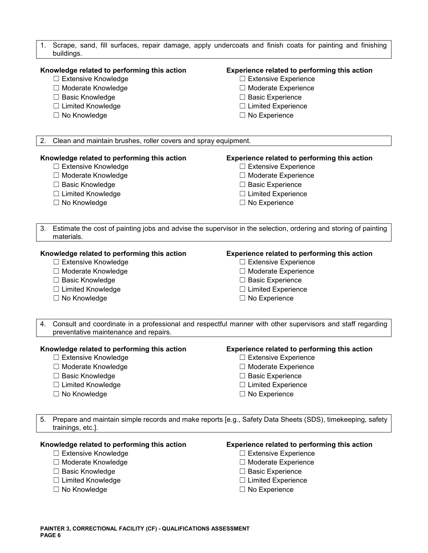| Scrape, sand, fill surfaces, repair damage, apply undercoats and finish coats for painting and finishing<br>1.<br>buildings. |                                                                                                                                                       |                                                                        |  |
|------------------------------------------------------------------------------------------------------------------------------|-------------------------------------------------------------------------------------------------------------------------------------------------------|------------------------------------------------------------------------|--|
|                                                                                                                              | Knowledge related to performing this action<br>□ Extensive Knowledge                                                                                  | Experience related to performing this action<br>□ Extensive Experience |  |
|                                                                                                                              | □ Moderate Knowledge                                                                                                                                  | □ Moderate Experience                                                  |  |
|                                                                                                                              | □ Basic Knowledge                                                                                                                                     | □ Basic Experience                                                     |  |
|                                                                                                                              | □ Limited Knowledge                                                                                                                                   | $\Box$ Limited Experience                                              |  |
|                                                                                                                              | □ No Knowledge                                                                                                                                        | $\Box$ No Experience                                                   |  |
|                                                                                                                              |                                                                                                                                                       |                                                                        |  |
| 2.                                                                                                                           | Clean and maintain brushes, roller covers and spray equipment.                                                                                        |                                                                        |  |
| Knowledge related to performing this action<br>Experience related to performing this action                                  |                                                                                                                                                       |                                                                        |  |
|                                                                                                                              | $\Box$ Extensive Knowledge                                                                                                                            | $\Box$ Extensive Experience                                            |  |
|                                                                                                                              | □ Moderate Knowledge                                                                                                                                  | □ Moderate Experience                                                  |  |
|                                                                                                                              | □ Basic Knowledge                                                                                                                                     | □ Basic Experience                                                     |  |
|                                                                                                                              | □ Limited Knowledge                                                                                                                                   | $\Box$ Limited Experience                                              |  |
|                                                                                                                              | □ No Knowledge                                                                                                                                        | $\Box$ No Experience                                                   |  |
|                                                                                                                              |                                                                                                                                                       |                                                                        |  |
| 3.                                                                                                                           | Estimate the cost of painting jobs and advise the supervisor in the selection, ordering and storing of painting<br>materials.                         |                                                                        |  |
|                                                                                                                              |                                                                                                                                                       |                                                                        |  |
|                                                                                                                              | Knowledge related to performing this action<br>□ Extensive Knowledge                                                                                  | Experience related to performing this action<br>□ Extensive Experience |  |
|                                                                                                                              | □ Moderate Knowledge                                                                                                                                  | □ Moderate Experience                                                  |  |
|                                                                                                                              | □ Basic Knowledge                                                                                                                                     | $\Box$ Basic Experience                                                |  |
|                                                                                                                              | □ Limited Knowledge                                                                                                                                   | □ Limited Experience                                                   |  |
|                                                                                                                              | □ No Knowledge                                                                                                                                        | $\Box$ No Experience                                                   |  |
|                                                                                                                              |                                                                                                                                                       |                                                                        |  |
|                                                                                                                              | 4. Consult and coordinate in a professional and respectful manner with other supervisors and staff regarding<br>preventative maintenance and repairs. |                                                                        |  |
|                                                                                                                              | Knowledge related to performing this action                                                                                                           | Experience related to performing this action                           |  |
|                                                                                                                              | □ Extensive Knowledge                                                                                                                                 | $\Box$ Extensive Experience                                            |  |
|                                                                                                                              | □ Moderate Knowledge                                                                                                                                  | □ Moderate Experience                                                  |  |
|                                                                                                                              | □ Basic Knowledge                                                                                                                                     | $\Box$ Basic Experience                                                |  |
|                                                                                                                              | □ Limited Knowledge                                                                                                                                   | $\Box$ Limited Experience                                              |  |
|                                                                                                                              | □ No Knowledge                                                                                                                                        | $\Box$ No Experience                                                   |  |
|                                                                                                                              |                                                                                                                                                       |                                                                        |  |
| 5.                                                                                                                           | Prepare and maintain simple records and make reports [e.g., Safety Data Sheets (SDS), timekeeping, safety<br>trainings, etc.].                        |                                                                        |  |
| Knowledge related to performing this action<br>Experience related to performing this action                                  |                                                                                                                                                       |                                                                        |  |
|                                                                                                                              | □ Extensive Knowledge                                                                                                                                 | $\Box$ Extensive Experience                                            |  |
|                                                                                                                              | □ Moderate Knowledge                                                                                                                                  | □ Moderate Experience                                                  |  |
|                                                                                                                              | □ Basic Knowledge                                                                                                                                     | □ Basic Experience                                                     |  |
|                                                                                                                              | □ Limited Knowledge                                                                                                                                   | $\Box$ Limited Experience                                              |  |
|                                                                                                                              | □ No Knowledge                                                                                                                                        | □ No Experience                                                        |  |

□ No Experience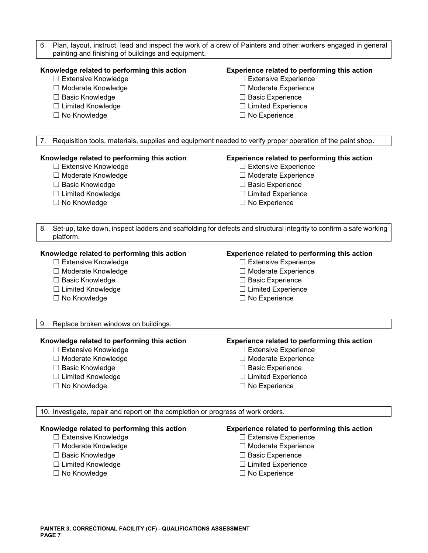- 6. Plan, layout, instruct, lead and inspect the work of a crew of Painters and other workers engaged in general painting and finishing of buildings and equipment. **Knowledge related to performing this action Experience related to performing this action**  ☐ Extensive Knowledge ☐ Extensive Experience ☐ Moderate Knowledge ☐ Moderate Experience ☐ Basic Knowledge ☐ Basic Experience ☐ Limited Knowledge ☐ Limited Experience ☐ No Knowledge ☐ No Experience 7. Requisition tools, materials, supplies and equipment needed to verify proper operation of the paint shop. **Knowledge related to performing this action Experience related to performing this action**  ☐ Extensive Knowledge ☐ Extensive Experience ☐ Moderate Knowledge ☐ Moderate Experience ☐ Basic Knowledge ☐ Basic Experience ☐ Limited Knowledge ☐ Limited Experience ☐ No Knowledge ☐ No Experience 8. Set-up, take down, inspect ladders and scaffolding for defects and structural integrity to confirm a safe working platform. **Knowledge related to performing this action Experience related to performing this action**  ☐ Extensive Knowledge ☐ Extensive Experience ☐ Moderate Knowledge ☐ Moderate Experience ☐ Basic Knowledge ☐ Basic Experience ☐ Limited Knowledge ☐ Limited Experience ☐ No Knowledge ☐ No Experience 9. Replace broken windows on buildings. **Knowledge related to performing this action Experience related to performing this action**  ☐ Extensive Knowledge ☐ Extensive Experience ☐ Moderate Knowledge ☐ Moderate Experience ☐ Basic Knowledge ☐ Basic Experience ☐ Limited Knowledge ☐ Limited Experience ☐ No Knowledge ☐ No Experience 10. Investigate, repair and report on the completion or progress of work orders. **Knowledge related to performing this action Experience related to performing this action**  ☐ Extensive Knowledge ☐ Extensive Experience
	-
	- ☐ Limited Knowledge ☐ Limited Experience
	-
- 
- ☐ Moderate Knowledge ☐ Moderate Experience
- ☐ Basic Knowledge ☐ Basic Experience
	-
- ☐ No Knowledge ☐ No Experience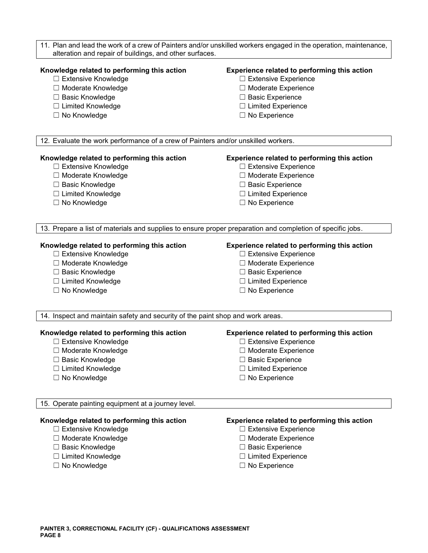11. Plan and lead the work of a crew of Painters and/or unskilled workers engaged in the operation, maintenance, alteration and repair of buildings, and other surfaces. **Knowledge related to performing this action Experience related to performing this action**  ☐ Extensive Knowledge ☐ Extensive Experience ☐ Moderate Knowledge ☐ Moderate Experience ☐ Basic Knowledge ☐ Basic Experience ☐ Limited Knowledge ☐ Limited Experience ☐ No Knowledge ☐ No Experience 12. Evaluate the work performance of a crew of Painters and/or unskilled workers. **Knowledge related to performing this action Experience related to performing this action**  ☐ Extensive Knowledge ☐ Extensive Experience ☐ Moderate Knowledge ☐ Moderate Experience ☐ Basic Knowledge ☐ Basic Experience ☐ Limited Knowledge ☐ Limited Experience ☐ No Knowledge ☐ No Experience 13. Prepare a list of materials and supplies to ensure proper preparation and completion of specific jobs. **Knowledge related to performing this action Experience related to performing this action**  ☐ Extensive Knowledge ☐ Extensive Experience ☐ Moderate Knowledge ☐ Moderate Experience ☐ Basic Knowledge ☐ Basic Experience ☐ Limited Knowledge ☐ Limited Experience ☐ No Knowledge ☐ No Experience 14. Inspect and maintain safety and security of the paint shop and work areas. **Knowledge related to performing this action Experience related to performing this action**  ☐ Extensive Knowledge ☐ Extensive Experience ☐ Moderate Knowledge ☐ Moderate Experience ☐ Basic Knowledge ☐ Basic Experience ☐ Limited Knowledge ☐ Limited Experience ☐ No Knowledge ☐ No Experience 15. Operate painting equipment at a journey level. **Knowledge related to performing this action Experience related to performing this action**  ☐ Extensive Knowledge ☐ Extensive Experience ☐ Moderate Knowledge ☐ Moderate Experience ☐ Basic Knowledge ☐ Basic Experience ☐ Limited Knowledge ☐ Limited Experience ☐ No Knowledge ☐ No Experience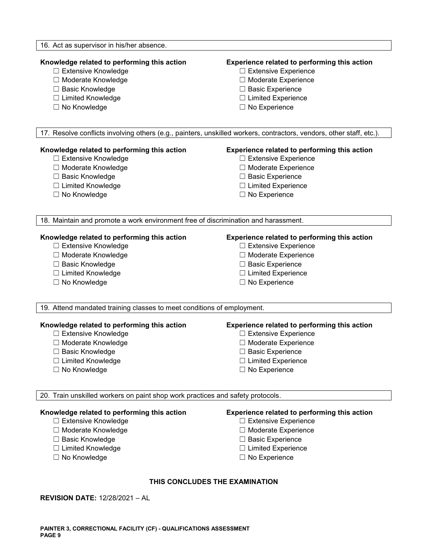### 16. Act as supervisor in his/her absence.

- ☐ Extensive Knowledge ☐ Extensive Experience
- ☐ Moderate Knowledge ☐ Moderate Experience
- 
- ☐ Limited Knowledge ☐ Limited Experience
- 

# **Knowledge related to performing this action Experience related to performing this action**

- 
- 
- ☐ Basic Knowledge ☐ Basic Experience
	-
- ☐ No Knowledge ☐ No Experience

17. Resolve conflicts involving others (e.g., painters, unskilled workers, contractors, vendors, other staff, etc.).

# **Knowledge related to performing this action Experience related to performing this action**

- 
- 
- 
- 
- 

- ☐ Extensive Knowledge ☐ Extensive Experience
- ☐ Moderate Knowledge ☐ Moderate Experience
- ☐ Basic Knowledge ☐ Basic Experience
- ☐ Limited Knowledge ☐ Limited Experience
- ☐ No Knowledge ☐ No Experience

18. Maintain and promote a work environment free of discrimination and harassment.

- ☐ Extensive Knowledge ☐ Extensive Experience
- ☐ Moderate Knowledge ☐ Moderate Experience
- 
- 
- ☐ No Knowledge ☐ No Experience

# **Knowledge related to performing this action Experience related to performing this action**

- 
- 
- ☐ Basic Knowledge ☐ Basic Experience
- ☐ Limited Knowledge ☐ Limited Experience
	-

19. Attend mandated training classes to meet conditions of employment.

- ☐ Extensive Knowledge ☐ Extensive Experience
- ☐ Moderate Knowledge ☐ Moderate Experience
- 
- 
- ☐ No Knowledge ☐ No Experience

# **Knowledge related to performing this action Experience related to performing this action**

- 
- 
- ☐ Basic Knowledge ☐ Basic Experience
- ☐ Limited Knowledge ☐ Limited Experience
	-

20. Train unskilled workers on paint shop work practices and safety protocols.

- 
- ☐ Moderate Knowledge ☐ Moderate Experience
- 
- 
- 

# **Knowledge related to performing this action Experience related to performing this action**

- ☐ Extensive Knowledge ☐ Extensive Experience
	-
- ☐ Basic Knowledge ☐ Basic Experience
- ☐ Limited Knowledge ☐ Limited Experience
- ☐ No Knowledge ☐ No Experience

# **THIS CONCLUDES THE EXAMINATION**

**REVISION DATE:** 12/28/2021 – AL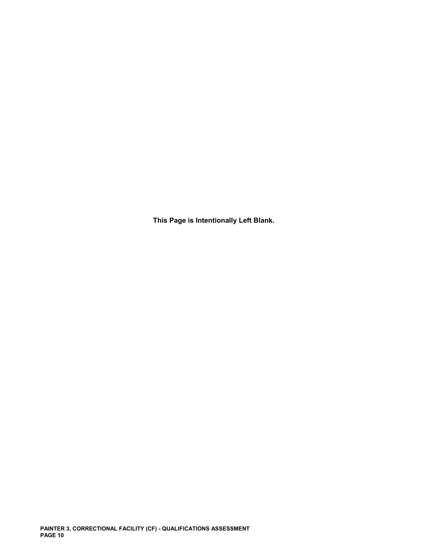**This Page is Intentionally Left Blank.**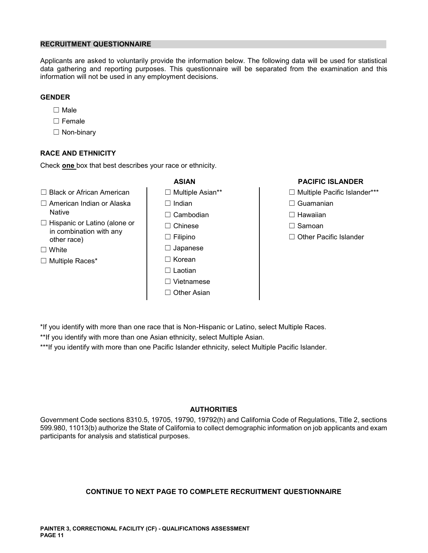### **RECRUITMENT QUESTIONNAIRE**

Applicants are asked to voluntarily provide the information below. The following data will be used for statistical data gathering and reporting purposes. This questionnaire will be separated from the examination and this information will not be used in any employment decisions.

### **GENDER**

- ☐ Male
- ☐ Female
- ☐ Non-binary

# **RACE AND ETHNICITY**

Check **one** box that best describes your race or ethnicity.

- ☐ Black or African American ☐ Multiple Asian\*\* ☐ Multiple Pacific Islander\*\*\*
- ☐ American Indian or Alaska ☐ Indian ☐ Guamanian
- ☐ Hispanic or Latino (alone or ☐ Chinese ☐ Samoan in combination with any other race) ☐ Filipino ☐ Other Pacific Islander
- 
- 
- Native ☐ Cambodian ☐ Hawaiian ☐ White ☐ Japanese ☐ Multiple Races\* ☐ Korean ☐ Laotian ☐ Vietnamese ☐ Other Asian

# **ASIAN PACIFIC ISLANDER**

- 
- 
- 
- 
- 

- \*If you identify with more than one race that is Non-Hispanic or Latino, select Multiple Races.
- \*\*If you identify with more than one Asian ethnicity, select Multiple Asian.

\*\*\*If you identify with more than one Pacific Islander ethnicity, select Multiple Pacific Islander.

### **AUTHORITIES**

Government Code sections 8310.5, 19705, 19790, 19792(h) and California Code of Regulations, Title 2, sections 599.980, 11013(b) authorize the State of California to collect demographic information on job applicants and exam participants for analysis and statistical purposes.

# **CONTINUE TO NEXT PAGE TO COMPLETE RECRUITMENT QUESTIONNAIRE**